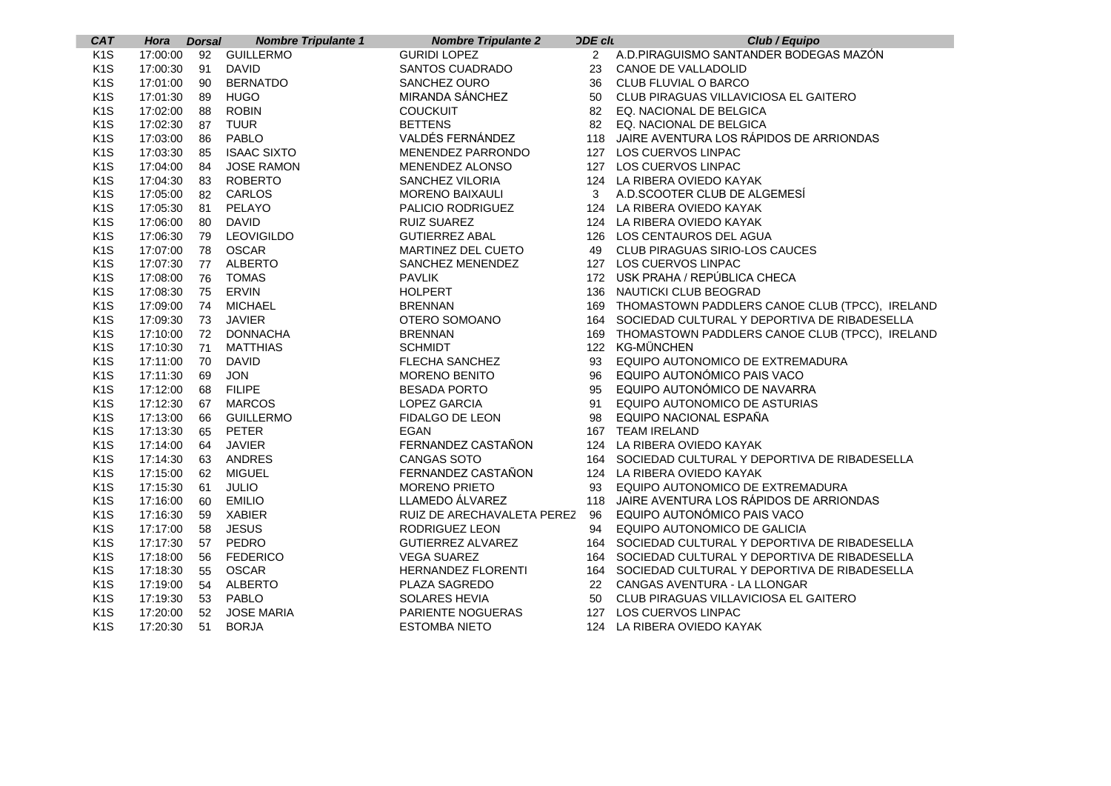| <b>CAT</b>       | Hora        | <b>Dorsal</b> | <b>Nombre Tripulante 1</b> | <b>Nombre Tripulante 2</b> | <b>ODE clu</b> | Club / Equipo                                      |
|------------------|-------------|---------------|----------------------------|----------------------------|----------------|----------------------------------------------------|
| K <sub>1</sub> S |             |               | 17:00:00 92 GUILLERMO      | <b>GURIDI LOPEZ</b>        |                | 2 A.D.PIRAGUISMO SANTANDER BODEGAS MAZÓN           |
| K <sub>1</sub> S | 17:00:30    | 91            | <b>DAVID</b>               | SANTOS CUADRADO            | 23             | CANOE DE VALLADOLID                                |
| K <sub>1</sub> S | 17:01:00    | 90            | <b>BERNATDO</b>            | SANCHEZ OURO               | 36             | CLUB FLUVIAL O BARCO                               |
| K <sub>1</sub> S | 17:01:30    | 89            | <b>HUGO</b>                | MIRANDA SÁNCHEZ            | 50             | CLUB PIRAGUAS VILLAVICIOSA EL GAITERO              |
| K <sub>1</sub> S | 17:02:00    | 88            | <b>ROBIN</b>               | <b>COUCKUIT</b>            | 82             | EQ. NACIONAL DE BELGICA                            |
| K <sub>1</sub> S | 17:02:30    | 87            | <b>TUUR</b>                | <b>BETTENS</b>             | 82             | EQ. NACIONAL DE BELGICA                            |
| K <sub>1</sub> S | 17:03:00    | 86            | PABLO                      | VALDÉS FERNÁNDEZ           |                | 118 JAIRE AVENTURA LOS RÁPIDOS DE ARRIONDAS        |
| K <sub>1</sub> S | 17:03:30    | 85            | <b>ISAAC SIXTO</b>         | MENENDEZ PARRONDO          |                | 127 LOS CUERVOS LINPAC                             |
| K <sub>1</sub> S | 17:04:00    | 84            | JOSE RAMON                 | <b>MENENDEZ ALONSO</b>     |                | 127 LOS CUERVOS LINPAC                             |
| K <sub>1</sub> S | 17:04:30    | 83            | <b>ROBERTO</b>             | SANCHEZ VILORIA            |                | 124 LA RIBERA OVIEDO KAYAK                         |
| K <sub>1</sub> S | 17:05:00    | 82            | CARLOS                     | <b>MORENO BAIXAULI</b>     |                | 3 A.D.SCOOTER CLUB DE ALGEMESÍ                     |
| K <sub>1</sub> S | 17:05:30    | 81            | PELAYO                     | PALICIO RODRIGUEZ          |                | 124 LA RIBERA OVIEDO KAYAK                         |
| K <sub>1</sub> S | 17:06:00    | 80            | <b>DAVID</b>               | RUIZ SUAREZ                |                | 124 LA RIBERA OVIEDO KAYAK                         |
| K <sub>1</sub> S | 17:06:30    | 79            | <b>LEOVIGILDO</b>          | <b>GUTIERREZ ABAL</b>      |                | 126 LOS CENTAUROS DEL AGUA                         |
| K <sub>1</sub> S | 17:07:00    | 78            | <b>OSCAR</b>               | MARTINEZ DEL CUETO         |                | 49 CLUB PIRAGUAS SIRIO-LOS CAUCES                  |
| K <sub>1</sub> S | 17:07:30    | 77            | <b>ALBERTO</b>             | SANCHEZ MENENDEZ           |                | 127 LOS CUERVOS LINPAC                             |
| K <sub>1</sub> S | 17:08:00    | 76            | <b>TOMAS</b>               | <b>PAVLIK</b>              |                | 172 USK PRAHA / REPÚBLICA CHECA                    |
| K <sub>1</sub> S | 17:08:30    | 75            | ERVIN                      | <b>HOLPERT</b>             |                | 136 NAUTICKI CLUB BEOGRAD                          |
| K <sub>1</sub> S | 17:09:00    | 74            | <b>MICHAEL</b>             | <b>BRENNAN</b>             |                | 169 THOMASTOWN PADDLERS CANOE CLUB (TPCC), IRELAND |
| K <sub>1</sub> S | 17:09:30    | 73            | <b>JAVIER</b>              | OTERO SOMOANO              |                | 164 SOCIEDAD CULTURAL Y DEPORTIVA DE RIBADESELLA   |
| K <sub>1</sub> S | 17:10:00 72 |               | <b>DONNACHA</b>            | <b>BRENNAN</b>             |                | 169 THOMASTOWN PADDLERS CANOE CLUB (TPCC), IRELAND |
| K <sub>1</sub> S | 17:10:30    | - 71          | <b>MATTHIAS</b>            | <b>SCHMIDT</b>             |                | 122 KG-MÜNCHEN                                     |
| K <sub>1</sub> S | 17:11:00    | 70            | <b>DAVID</b>               | <b>FLECHA SANCHEZ</b>      | 93             | EQUIPO AUTONOMICO DE EXTREMADURA                   |
| K <sub>1</sub> S | 17:11:30    | 69            | <b>JON</b>                 | <b>MORENO BENITO</b>       | 96             | EQUIPO AUTONÓMICO PAIS VACO                        |
| K <sub>1</sub> S | 17:12:00    | 68            | <b>FILIPE</b>              | <b>BESADA PORTO</b>        | 95             | EQUIPO AUTONÓMICO DE NAVARRA                       |
| K <sub>1</sub> S | 17:12:30    | 67            | <b>MARCOS</b>              | <b>LOPEZ GARCIA</b>        | 91             | EQUIPO AUTONOMICO DE ASTURIAS                      |
| K <sub>1</sub> S | 17:13:00    | 66            | <b>GUILLERMO</b>           | FIDALGO DE LEON            | 98             | EQUIPO NACIONAL ESPAÑA                             |
| K <sub>1</sub> S | 17:13:30    | 65            | <b>PETER</b>               | <b>EGAN</b>                |                | 167 TEAM IRELAND                                   |
| K <sub>1</sub> S | 17:14:00    | 64            | <b>JAVIER</b>              | FERNANDEZ CASTAÑON         |                | 124 LA RIBERA OVIEDO KAYAK                         |
| K <sub>1</sub> S | 17:14:30    | 63            | <b>ANDRES</b>              | CANGAS SOTO                |                | 164 SOCIEDAD CULTURAL Y DEPORTIVA DE RIBADESELLA   |
| K <sub>1</sub> S | 17:15:00    | 62            | <b>MIGUEL</b>              | FERNANDEZ CASTAÑON         |                | 124 LA RIBERA OVIEDO KAYAK                         |
| K <sub>1</sub> S | 17:15:30    | 61            | <b>JULIO</b>               | <b>MORENO PRIETO</b>       | 93             | EQUIPO AUTONOMICO DE EXTREMADURA                   |
| K <sub>1</sub> S | 17:16:00    | - 60          | <b>EMILIO</b>              | LLAMEDO ÁLVAREZ            | 118            | JAIRE AVENTURA LOS RÁPIDOS DE ARRIONDAS            |
| K <sub>1</sub> S | 17:16:30    | 59            | <b>XABIER</b>              | RUIZ DE ARECHAVALETA PEREZ | 96             | EQUIPO AUTONÓMICO PAIS VACO                        |
| K <sub>1</sub> S | 17:17:00    | 58            | <b>JESUS</b>               | RODRIGUEZ LEON             | 94             | EQUIPO AUTONOMICO DE GALICIA                       |
| K <sub>1</sub> S | 17:17:30    | 57            | PEDRO                      | <b>GUTIERREZ ALVAREZ</b>   |                | 164 SOCIEDAD CULTURAL Y DEPORTIVA DE RIBADESELLA   |
| K <sub>1</sub> S | 17:18:00    | 56            | <b>FEDERICO</b>            | <b>VEGA SUAREZ</b>         |                | 164 SOCIEDAD CULTURAL Y DEPORTIVA DE RIBADESELLA   |
| K <sub>1</sub> S | 17:18:30    | 55            | <b>OSCAR</b>               | <b>HERNANDEZ FLORENTI</b>  |                | 164 SOCIEDAD CULTURAL Y DEPORTIVA DE RIBADESELLA   |
| K <sub>1</sub> S | 17:19:00    | 54            | <b>ALBERTO</b>             | PLAZA SAGREDO              |                | 22 CANGAS AVENTURA - LA LLONGAR                    |
| K <sub>1</sub> S | 17:19:30    | 53            | <b>PABLO</b>               | SOLARES HEVIA              | 50             | CLUB PIRAGUAS VILLAVICIOSA EL GAITERO              |
| K <sub>1</sub> S | 17:20:00    | 52            | <b>JOSE MARIA</b>          | PARIENTE NOGUERAS          |                | 127 LOS CUERVOS LINPAC                             |
| K <sub>1</sub> S | 17:20:30    | 51            | <b>BORJA</b>               | <b>ESTOMBA NIETO</b>       |                | 124 LA RIBERA OVIEDO KAYAK                         |